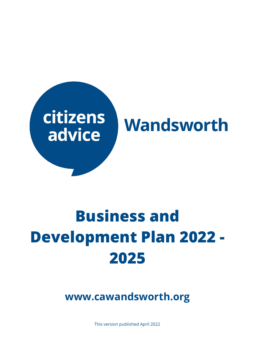

# **Business and Development Plan 2022 - 2025**

**www.cawandsworth.org**

This version published April 2022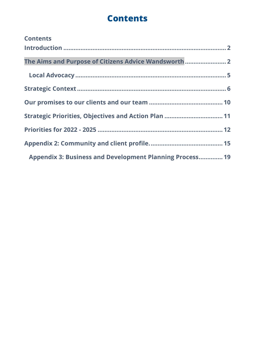# **Contents**

| <b>Contents</b>                                                 |  |
|-----------------------------------------------------------------|--|
|                                                                 |  |
|                                                                 |  |
| The Aims and Purpose of Citizens Advice Wandsworth  2           |  |
|                                                                 |  |
|                                                                 |  |
|                                                                 |  |
| Strategic Priorities, Objectives and Action Plan  11            |  |
|                                                                 |  |
|                                                                 |  |
| <b>Appendix 3: Business and Development Planning Process 19</b> |  |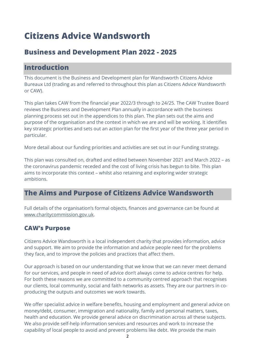# **Citizens Advice Wandsworth**

# **Business and Development Plan 2022 - 2025**

## <span id="page-2-0"></span>**Introduction**

This document is the Business and Development plan for Wandsworth Citizens Advice Bureaux Ltd (trading as and referred to throughout this plan as Citizens Advice Wandsworth or CAW).

This plan takes CAW from the financial year 2022/3 through to 24/25. The CAW Trustee Board reviews the Business and Development Plan annually in accordance with the business planning process set out in the appendices to this plan. The plan sets out the aims and purpose of the organisation and the context in which we are and will be working. It identifies key strategic priorities and sets out an action plan for the first year of the three year period in particular.

More detail about our funding priorities and activities are set out in our Funding strategy.

This plan was consulted on, drafted and edited between November 2021 and March 2022 – as the coronavirus pandemic receded and the cost of living crisis has begun to bite. This plan aims to incorporate this context – whilst also retaining and exploring wider strategic ambitions.

# <span id="page-2-1"></span>**The Aims and Purpose of Citizens Advice Wandsworth**

Full details of the organisation's formal objects, finances and governance can be found at [www.charitycommission.gov.uk.](http://www.charitycommission.gov.uk/)

## **CAW's Purpose**

Citizens Advice Wandsworth is a local independent charity that provides information, advice and support. We aim to provide the information and advice people need for the problems they face, and to improve the policies and practices that affect them.

Our approach is based on our understanding that we know that we can never meet demand for our services, and people in need of advice don't always come to advice centres for help. For both these reasons we are committed to a community centred approach that recognises our clients, local community, social and faith networks as assets. They are our partners in coproducing the outputs and outcomes we work towards.

We offer specialist advice in welfare benefits, housing and employment and general advice on money/debt, consumer, immigration and nationality, family and personal matters, taxes, health and education. We provide general advice on discrimination across all these subjects. We also provide self-help information services and resources and work to increase the capability of local people to avoid and prevent problems like debt. We provide the main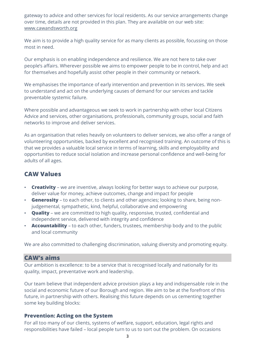gateway to advice and other services for local residents. As our service arrangements change over time, details are not provided in this plan. They are available on our web site: [www.cawandsworth.org](http://www.cawandsworth.org/)

We aim is to provide a high quality service for as many clients as possible, focussing on those most in need.

Our emphasis is on enabling independence and resilience. We are not here to take over people's affairs. Wherever possible we aims to empower people to be in control, help and act for themselves and hopefully assist other people in their community or network.

We emphasises the importance of early intervention and prevention in its services. We seek to understand and act on the underlying causes of demand for our services and tackle preventable systemic failure.

Where possible and advantageous we seek to work in partnership with other local Citizens Advice and services, other organisations, professionals, community groups, social and faith networks to improve and deliver services.

As an organisation that relies heavily on volunteers to deliver services, we also offer a range of volunteering opportunities, backed by excellent and recognised training. An outcome of this is that we provides a valuable local service in terms of learning, skills and employability and opportunities to reduce social isolation and increase personal confidence and well-being for adults of all ages.

## **CAW Values**

- **Creativity** we are inventive, always looking for better ways to achieve our purpose, deliver value for money, achieve outcomes, change and impact for people
- **Generosity** to each other, to clients and other agencies; looking to share, being nonjudgemental, sympathetic, kind, helpful, collaborative and empowering
- **Quality** we are committed to high quality, responsive, trusted, confidential and independent service, delivered with integrity and confidence
- **Accountability** to each other, funders, trustees, membership body and to the public and local community

We are also committed to challenging discrimination, valuing diversity and promoting equity.

#### **CAW's aims**

Our ambition is excellence: to be a service that is recognised locally and nationally for its quality, impact, preventative work and leadership.

Our team believe that independent advice provision plays a key and indispensable role in the social and economic future of our Borough and region. We aim to be at the forefront of this future, in partnership with others. Realising this future depends on us cementing together some key building blocks:

#### **Prevention: Acting on the System**

For all too many of our clients, systems of welfare, support, education, legal rights and responsibilities have failed – local people turn to us to sort out the problem. On occasions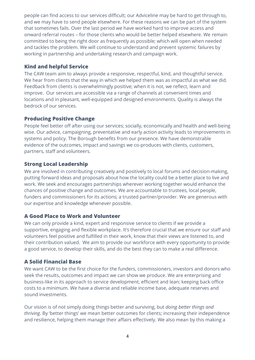people can find access to our services difficult; our Adviceline may be hard to get through to, and we may have to send people elsewhere. For these reasons we can be part of the system that sometimes fails. Over the last period we have worked hard to improve access and onward referral routes – for those clients who would be better helped elsewhere. We remain committed to being the right door as frequently as possible; which will open when needed and tackles the problem. We will continue to understand and prevent systemic failures by working in partnership and undertaking research and campaign work.

#### **Kind and helpful Service**

The CAW team aim to always provide a responsive, respectful, kind, and thoughtful service. We hear from clients that the way in which we helped them was as impactful as what we did. Feedback from clients is overwhelmingly positive; when it is not, we reflect, learn and improve. Our services are accessible via a range of channels at convenient times and locations and in pleasant, well-equipped and designed environments. Quality is always the bedrock of our services.

#### **Producing Positive Change**

People feel better off after using our services; socially, economically and health and well-being wise. Our advice, campaigning, preventative and early action activity leads to improvements in systems and policy. The Borough benefits from our presence. We have demonstrable evidence of the outcomes, impact and savings we co-produces with clients, customers, partners, staff and volunteers.

#### **Strong Local Leadership**

We are involved in contributing creatively and positively to local forums and decision-making, putting forward ideas and proposals about how the locality could be a better place to live and work. We seek and encourages partnerships wherever working together would enhance the chances of positive change and outcomes. We are accountable to trustees, local people, funders and commissioners for its actions; a trusted partner/provider. We are generous with our expertise and knowledge whenever possible.

#### **A Good Place to Work and Volunteer**

We can only provide a kind, expert and responsive service to clients if we provide a supportive, engaging and flexible workplace. It's therefore crucial that we ensure our staff and volunteers feel positive and fulfilled in their work, know that their views are listened to, and their contribution valued. We aim to provide our workforce with every opportunity to provide a good service, to develop their skills, and do the best they can to make a real difference.

#### **A Solid Financial Base**

We want CAW to be the first choice for the funders, commissioners, investors and donors who seek the results, outcomes and impact we can show we produce. We are enterprising and business-like in its approach to service development, efficient and lean; keeping back office costs to a minimum. We have a diverse and reliable income base, adequate reserves and sound investments.

Our vision is of not simply doing things better and surviving, but *doing better things and thriving*. By 'better things' we mean better outcomes for clients; increasing their independence and resilience, helping them manage their affairs effectively. We also mean by this making a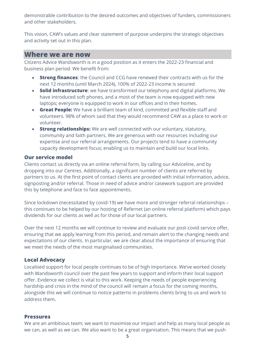demonstrable contribution to the desired outcomes and objectives of funders, commissioners and other stakeholders.

This vision, CAW's values and clear statement of purpose underpins the strategic objectives and activity set out in this plan.

#### **Where we are now**

Citizens Advice Wandsworth is in a good position as it enters the 2022-23 financial and business plan period. We benefit from:

- **Strong finances**: the Council and CCG have renewed their contracts with us for the next 12 months (until March 2024), 100% of 2022-23 income is secured
- **Solid infrastructure**: we have transformed our telephony and digital platforms. We have introduced soft phones, and a most of the team is now equipped with new laptops; everyone is equipped to work in our offices and in their homes.
- **Great People:** We have a brilliant team of kind, committed and flexible staff and volunteers. 98% of whom said that they would recommend CAW as a place to work or volunteer.
- **Strong relationships:** We are well connected with our voluntary, statutory, community and faith partners. We are generous with our resources including our expertise and our referral arrangements. Our projects tend to have a community capacity development focus; enabling us to maintain and build our local links.

#### **Our service model**

Clients contact us directly via an online referral form, by calling our Adviceline, and by dropping into our Centres. Additionally, a significant number of clients are referred by partners to us. At the first point of contact clients are provided with initial information, advice, signposting and/or referral. Those in need of advice and/or casework support are provided this by telephone and face to face appointments.

Since lockdown (necessitated by covid-19) we have more and stronger referral relationships – this continues to be helped by our hosting of Refernet (an online referral platform) which pays dividends for our clients as well as for those of our local partners.

Over the next 12 months we will continue to review and evaluate our post-covid service offer, ensuring that we apply learning from this period, and remain alert to the changing needs and expectations of our clients. In particular, we are clear about the importance of ensuring that we meet the needs of the most marginalised communities.

#### <span id="page-5-0"></span>**Local Advocacy**

Localised support for local people continues to be of high importance. We've worked closely with Wandsworth council over the past few years to support and inform their local support offer. Evidence we collect is vital to this work. Keeping the needs of people experiencing hardship and crisis in the mind of the council will remain a focus for the coming months, alongside this we will continue to notice patterns in problems clients bring to us and work to address them.

#### **Pressures**

We are an ambitious team; we want to maximise our impact and help as many local people as we can, as well as we can. We also want to be a great organisation. This means that we push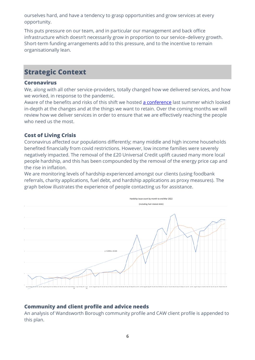ourselves hard, and have a tendency to grasp opportunities and grow services at every opportunity.

This puts pressure on our team, and in particular our management and back office infrastructure which doesn't necessarily grow in proportion to our service–delivery growth. Short-term funding arrangements add to this pressure, and to the incentive to remain organisationally lean.

# <span id="page-6-0"></span>**Strategic Context**

#### **Coronavirus**

We, along with all other service-providers, totally changed how we delivered services, and how we worked, in response to the pandemic.

Aware of the benefits and risks of this shift we hosted [a conference](https://cawandsworth.org/wp-content/uploads/2021/10/2021-Crisis-Conference-Report-Learning-from-Service-Delivery-During-the-Pandemic.pdf) last summer which looked in-depth at the changes and at the things we want to retain. Over the coming months we will review how we deliver services in order to ensure that we are effectively reaching the people who need us the most.

#### **Cost of Living Crisis**

Coronavirus affected our populations differently; many middle and high income households benefited financially from covid restrictions. However, low income families were severely negatively impacted. The removal of the £20 Universal Credit uplift caused many more local people hardship, and this has been compounded by the removal of the energy price cap and the rise in inflation.

We are monitoring levels of hardship experienced amongst our clients (using foodbank referrals, charity applications, fuel debt, and hardship applications as proxy measures). The graph below illustrates the experience of people contacting us for assistance.



#### **Community and client profile and advice needs**

An analysis of Wandsworth Borough community profile and CAW client profile is appended to this plan.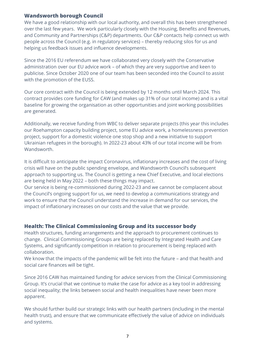#### **Wandsworth borough Council**

We have a good relationship with our local authority, and overall this has been strengthened over the last few years. We work particularly closely with the Housing, Benefits and Revenues, and Community and Partnerships (C&P) departments. Our C&P contacts help connect us with people across the Council (e.g. in regulatory services) – thereby reducing silos for us and helping us feedback issues and influence developments.

Since the 2016 EU referendum we have collaborated very closely with the Conservative administration over our EU advice work – of which they are very supportive and keen to publicise. Since October 2020 one of our team has been seconded into the Council to assist with the promotion of the EUSS.

Our core contract with the Council is being extended by 12 months until March 2024. This contract provides core funding for CAW (and makes up 31% of our total income) and is a vital baseline for growing the organisation as other opportunities and joint working possibilities are generated.

Additionally, we receive funding from WBC to deliver separate projects (this year this includes our Roehampton capacity building project, some EU advice work, a homelessness prevention project, support for a domestic violence one stop shop and a new initiative to support Ukrainian refugees in the borough). In 2022-23 about 43% of our total income will be from **Wandsworth** 

It is difficult to anticipate the impact Coronavirus, inflationary increases and the cost of living crisis will have on the public spending envelope, and Wandsworth Council's subsequent approach to supporting us. The Council is getting a new Chief Executive, and local elections are being held in May 2022 – both these things may impact.

Our service is being re-commissioned during 2022-23 and we cannot be complacent about the Council's ongoing support for us, we need to develop a communications strategy and work to ensure that the Council understand the increase in demand for our services, the impact of inflationary increases on our costs and the value that we provide.

#### **Health: The Clinical Commissioning Group and its successor body**

Health structures, funding arrangements and the approach to procurement continues to change. Clinical Commissioning Groups are being replaced by Integrated Health and Care Systems, and significantly competition in relation to procurement is being replaced with collaboration.

We know that the impacts of the pandemic will be felt into the future – and that health and social care finances will be tight.

Since 2016 CAW has maintained funding for advice services from the Clinical Commissioning Group. It's crucial that we continue to make the case for advice as a key tool in addressing social inequality; the links between social and health inequalities have never been more apparent.

We should further build our strategic links with our health partners (including in the mental health trust), and ensure that we communicate effectively the value of advice on individuals and systems.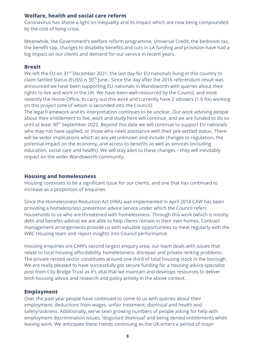#### **Welfare, health and social care reform**

Coronavirus has shone a light on inequality and its impact which are now being compounded by the cost of living crisis.

Meanwhile, the Government's welfare reform programme; Universal Credit, the bedroom tax, the benefit cap, changes to disability benefits and cuts in LA funding and provision have had a big impact on our clients and demand for our service in recent years.

#### **Brexit**

We left the EU on 31<sup>st</sup> December 2021, the last day for EU nationals living in this country to claim Settled Status (EUSS) is  $30<sup>th</sup>$  June. Since the day after the 2016 referendum result was announced we have been supporting EU nationals in Wandsworth with queries about their rights to live and work in the UK. We have been well-resourced by the Council, and most recently the Home Office, to carry out this work and currently have 2 advisers (1.6 fte) working on this project (one of whom is seconded into the Council).

The legal framework and its interpretation continues to be unclear. Our work advising people about their entitlement to live, work and study here will continue, and we are funded to do so until at least 30<sup>th</sup> September 2022. Beyond this date we will continue to support EU nationals who may not have applied, or those who need assistance with their pre-settled status. There will be wider implications which as are yet unknown and include changes to regulation, the potential impact on the economy, and access to benefits as well as services (including education, social care and health). We will stay alert to these changes – they will inevitably impact on the wider Wandsworth community.

#### **Housing and homelessness**

Housing continues to be a significant issue for our clients, and one that has continued to increase as a proportion of enquiries.

Since the Homelessness Reduction Act (HRA) was implemented in April 2018 CAW has been providing a homelessness prevention advice service under which the Council refers households to us who are threatened with homelessness. Through this work (which is mostly debt and benefits advice) we are able to help clients remain in their own homes. Contract management arrangements provide us with valuable opportunities to meet regularly with the WBC Housing team and report insights into Council performance.

Housing enquiries are CAW's second largest enquiry area, our team deals with issues that relate to local housing affordability, homelessness, disrepair and private renting problems. The private rented sector constitutes around one third of total housing stock in the borough. We are really pleased to have successfully got secure funding for a housing advice specialist post from City Bridge Trust as it's vital that we maintain and develops resources to deliver both housing advice and research and policy activity in the above context.

#### **Employment**

Over the past year people have continued to come to us with queries about their employment; deductions from wages, unfair treatment, dismissal and health and safety/sickness. Additionally, we've seen growing numbers of people asking for help with employment discrimination issues, 'disguised dismissal' and being denied entitlements when leaving work. We anticipate these trends continuing as the UK enters a period of major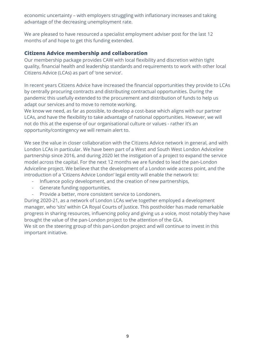economic uncertainty – with employers struggling with inflationary increases and taking advantage of the decreasing unemployment rate.

We are pleased to have resourced a specialist employment adviser post for the last 12 months of and hope to get this funding extended.

#### **Citizens Advice membership and collaboration**

Our membership package provides CAW with local flexibility and discretion within tight quality, financial health and leadership standards and requirements to work with other local Citizens Advice (LCAs) as part of 'one service'.

In recent years Citizens Advice have increased the financial opportunities they provide to LCAs by centrally procuring contracts and distributing contractual opportunities. During the pandemic this usefully extended to the procurement and distribution of funds to help us adapt our services and to move to remote working.

We know we need, as far as possible, to develop a cost-base which aligns with our partner LCAs, and have the flexibility to take advantage of national opportunities. However, we will not do this at the expense of our organisational culture or values - rather it's an opportunity/contingency we will remain alert to.

We see the value in closer collaboration with the Citizens Advice network in general, and with London LCAs in particular. We have been part of a West and South West London Adviceline partnership since 2016, and during 2020 let the instigation of a project to expand the service model across the capital. For the next 12 months we are funded to lead the pan-London Adviceline project. We believe that the development of a London wide access point, and the introduction of a 'Citizens Advice London' legal entity will enable the network to:

- Influence policy development, and the creation of new partnerships,
- Generate funding opportunities,
- Provide a better, more consistent service to Londoners.

During 2020-21, as a network of London LCAs we've together employed a development manager, who 'sits' within CA Royal Courts of Justice. This postholder has made remarkable progress in sharing resources, influencing policy and giving us a voice, most notably they have brought the value of the pan-London project to the attention of the GLA.

We sit on the steering group of this pan-London project and will continue to invest in this important initiative.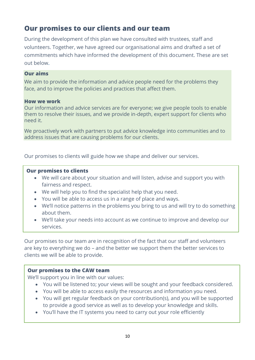# <span id="page-10-0"></span>**Our promises to our clients and our team**

During the development of this plan we have consulted with trustees, staff and volunteers. Together, we have agreed our organisational aims and drafted a set of commitments which have informed the development of this document. These are set out below.

#### **Our aims**

We aim to provide the information and advice people need for the problems they face, and to improve the policies and practices that affect them.

#### **How we work**

Our information and advice services are for everyone; we give people tools to enable them to resolve their issues, and we provide in-depth, expert support for clients who need it.

We proactively work with partners to put advice knowledge into communities and to address issues that are causing problems for our clients.

Our promises to clients will guide how we shape and deliver our services.

#### **Our promises to clients**

- We will care about your situation and will listen, advise and support you with fairness and respect.
- We will help you to find the specialist help that you need.
- You will be able to access us in a range of place and ways.
- We'll notice patterns in the problems you bring to us and will try to do something about them.
- We'll take your needs into account as we continue to improve and develop our services.

Our promises to our team are in recognition of the fact that our staff and volunteers are key to everything we do – and the better we support them the better services to clients we will be able to provide.

#### **Our promises to the CAW team**

We'll support you in line with our values:

- You will be listened to; your views will be sought and your feedback considered.
- You will be able to access easily the resources and information you need.
- You will get regular feedback on your contribution(s), and you will be supported to provide a good service as well as to develop your knowledge and skills.
- You'll have the IT systems you need to carry out your role efficiently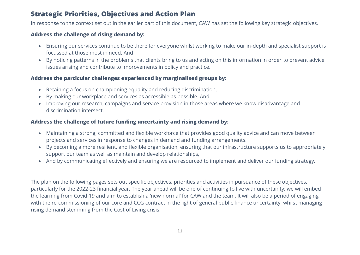## **Strategic Priorities, Objectives and Action Plan**

In response to the context set out in the earlier part of this document, CAW has set the following key strategic objectives.

#### **Address the challenge of rising demand by:**

- Ensuring our services continue to be there for everyone whilst working to make our in-depth and specialist support is focussed at those most in need. And
- By noticing patterns in the problems that clients bring to us and acting on this information in order to prevent advice issues arising and contribute to improvements in policy and practice.

#### **Address the particular challenges experienced by marginalised groups by:**

- Retaining a focus on championing equality and reducing discrimination.
- By making our workplace and services as accessible as possible. And
- Improving our research, campaigns and service provision in those areas where we know disadvantage and discrimination intersect.

#### <span id="page-11-0"></span>**Address the challenge of future funding uncertainty and rising demand by:**

- Maintaining a strong, committed and flexible workforce that provides good quality advice and can move between projects and services in response to changes in demand and funding arrangements.
- By becoming a more resilient, and flexible organisation, ensuring that our infrastructure supports us to appropriately support our team as well as maintain and develop relationships,
- And by communicating effectively and ensuring we are resourced to implement and deliver our funding strategy.

The plan on the following pages sets out specific objectives, priorities and activities in pursuance of these objectives, particularly for the 2022-23 financial year. The year ahead will be one of continuing to live with uncertainty; we will embed the learning from Covid-19 and aim to establish a 'new-normal' for CAW and the team. It will also be a period of engaging with the re-commissioning of our core and CCG contract in the light of general public finance uncertainty, whilst managing rising demand stemming from the Cost of Living crisis.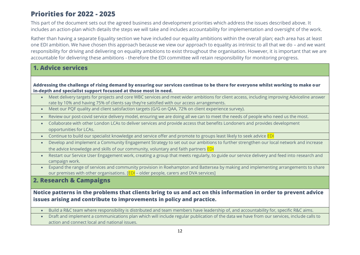## **Priorities for 2022 - 2025**

This part of the document sets out the agreed business and development priorities which address the issues described above. It includes an action-plan which details the steps we will take and includes accountability for implementation and oversight of the work.

Rather than having a separate Equality section we have included our equality ambitions within the overall plan; each area has at least one EDI ambition. We have chosen this approach because we view our approach to equality as intrinsic to all that we do – and we want responsibility for driving and delivering on equality ambitions to exist throughout the organisation. However, it is important that we are accountable for delivering these ambitions - therefore the EDI committee will retain responsibility for monitoring progress.

## **1. Advice services**

#### **Addressing the challenge of rising demand by ensuring our services continue to be there for everyone whilst working to make our in-depth and specialist support focussed at those most in need.**

- Meet delivery targets for projects and core WBC services and meet wider ambitions for client access, including improving Adviceline answer rate by 10% and having 75% of clients say they're satisfied with our access arrangements.
- Meet our PQF quality and client satisfaction targets (G/G on QAA, 72% on client experience survey).
- <span id="page-12-0"></span>• Review our post-covid service delivery model, ensuring we are doing all we can to meet the needs of people who need us the most.
- Collaborate with other London LCAs to deliver services and provide access that benefits Londoners and provides development opportunities for LCAs.
- Continue to build our specialist knowledge and service offer and promote to groups least likely to seek advice EDI
- Develop and implement a Community Engagement Strategy to set out our ambitions to further strengthen our local network and increase the advice knowledge and skills of our community, voluntary and faith partners EDI
- Restart our Service User Engagement work, creating a group that meets regularly, to guide our service delivery and feed into research and campaign work.
- Expand the range of services and community provision in Roehampton and Battersea by making and implementing arrangements to share our premises with other organisations. [EDI – older people, carers and DVA services]

## **2. Research & Campaigns**

#### **Notice patterns in the problems that clients bring to us and act on this information in order to prevent advice issues arising and contribute to improvements in policy and practice.**

- Build a R&C team where responsibility is distributed and team members have leadership of, and accountability for, specific R&C aims.
- Draft and implement a communications plan which will include regular publication of the data we have from our services, include calls to action and connect local and national issues.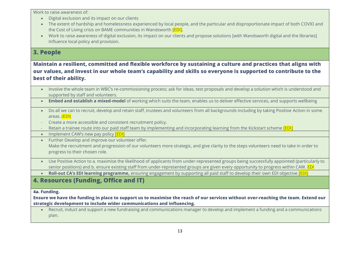Work to raise awareness of:

- Digital exclusion and its impact on our clients
- The extent of hardship and homelessness experienced by local people, and the particular and disproportionate impact of both COVID and the Cost of Living crisis on BAME communities in Wandsworth **[EDI].**
- Work to raise awareness of digital exclusion, its impact on our clients and propose solutions [with Wandsworth digital and the libraries] Influence local policy and provision.

#### **3. People**

#### **Maintain a resilient, committed and flexible workforce by sustaining a culture and practices that aligns with our values, and invest in our whole team's capability and skills so everyone is supported to contribute to the best of their ability.**

- Involve the whole team in WBC's re-commissioning process; ask for ideas, test proposals and develop a solution which is understood and supported by staff and volunteers.
- **Embed and establish a mixed-model** of working which suits the team, enables us to deliver effective services, and supports wellbeing
- Do all we can to recruit, develop and retain staff, trustees and volunteers from all backgrounds including by taking Positive Action in some areas. (EDI)
- Create a more accessible and consistent recruitment policy.
- Retain a trainee route into our paid staff team by implementing and incorporating learning from the Kickstart scheme [EDI]
- $\bullet$  Implement CAW's new pay policy **[EDI]**
- Further Develop and improve our volunteer offer. Make the recruitment and progression of our volunteers more strategic, and give clarity to the steps volunteers need to take in order to progress to their chosen role.
- Use Positive Action to a. maximise the likelihood of applicants from under-represented groups being successfully appointed (particularly to senior positions) and b. ensure existing staff from under-represented groups are given every opportunity to progress within CAW. EDI
- **Roll-out CA's EDI learning programme,** ensuring engagement by supporting all paid staff to develop their own EDI objective [EDI]

## **4. Resources (Funding, Office and IT)**

#### **4a. Funding.**

#### **Ensure we have the funding in place to support us to maximise the reach of our services without over-reaching the team. Extend our strategic development to include wider communications and influencing.**

• Recruit, induct and support a new fundraising and communications manager to develop and implement a funding and a communications plan.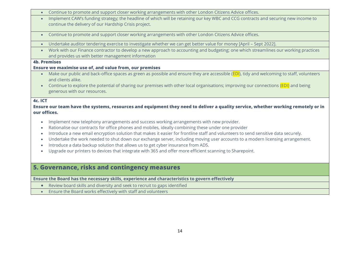- Continue to promote and support closer working arrangements with other London Citizens Advice offices.
- Implement CAW's funding strategy; the headline of which will be retaining our key WBC and CCG contracts and securing new income to continue the delivery of our Hardship Crisis project.
- Continue to promote and support closer working arrangements with other London Citizens Advice offices.
- Undertake auditor tendering exercise to investigate whether we can get better value for money [April Sept 2022].
- Work with our Finance contractor to develop a new approach to accounting and budgeting; one which streamlines our working practices and provides us with better management information

#### **4b. Premises**

#### **Ensure we maximise use of, and value from, our premises**

- Make our public and back-office spaces as green as possible and ensure they are accessible (EDI), tidy and welcoming to staff, volunteers and clients alike.
- Continue to explore the potential of sharing our premises with other local organisations; improving our connections (EDI) and being generous with our resources.

#### **4c. ICT**

**Ensure our team have the systems, resources and equipment they need to deliver a quality service, whether working remotely or in our offices.**

- Implement new telephony arrangements and success working arrangements with new provider.
- Rationalise our contracts for office phones and mobiles, ideally combining these under one provider
- Introduce a new email encryption solution that makes it easier for frontline staff and volunteers to send sensitive data securely.
- Undertake the work needed to shut down our exchange server, including moving user accounts to a modern licensing arrangement.
- Introduce a data backup solution that allows us to get cyber insurance from ADS.
- Upgrade our printers to devices that integrate with 365 and offer more efficient scanning to Sharepoint.

## **5. Governance, risks and contingency measures**

**Ensure the Board has the necessary skills, experience and characteristics to govern effectively**

- Review board skills and diversity and seek to recruit to gaps identified
- Ensure the Board works effectively with staff and volunteers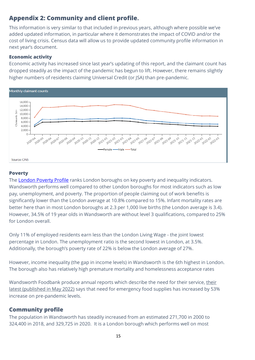## <span id="page-15-0"></span>**Appendix 2: Community and client profile.**

This information is very similar to that included in previous years, although where possible we've added updated information, in particular where it demonstrates the impact of COVID and/or the cost of living crisis. Census data will allow us to provide updated community profile information in next year's document.

#### **Economic activity**

Economic activity has increased since last year's updating of this report, and the claimant count has dropped steadily as the impact of the pandemic has begun to lift. However, there remains slightly higher numbers of residents claiming Universal Credit (or JSA) than pre-pandemic.



#### **Poverty**

The [London Poverty Profile](https://www.trustforlondon.org.uk/data/) ranks London boroughs on key poverty and inequality indicators. Wandsworth performs well compared to other London boroughs for most indicators such as low pay, unemployment, and poverty. The proportion of people claiming out of work benefits is significantly lower than the London average at 10.8% compared to 15%. Infant mortality rates are better here than in most London boroughs at 2.3 per 1,000 live births (the London average is 3.4). However, 34.5% of 19 year olds in Wandsworth are without level 3 qualifications, compared to 25% for London overall.

Only 11% of employed residents earn less than the London Living Wage - the joint lowest percentage in London. The unemployment ratio is the second lowest in London, at 3.5%. Additionally, the borough's poverty rate of 22% is below the London average of 27%.

However, income inequality (the gap in income levels) in Wandsworth is the 6th highest in London. The borough also has relatively high premature mortality and homelessness acceptance rates

Wandsworth Foodbank produce annual reports which describe the need for [their](https://wandsworth.foodbank.org.uk/wp-content/uploads/sites/149/2022/04/A-Time-of-Crisis-2021-22.pdf) service, their [latest \(published in May 2022\)](https://wandsworth.foodbank.org.uk/wp-content/uploads/sites/149/2022/04/A-Time-of-Crisis-2021-22.pdf) says that need for emergency food supplies has increased by 53% increase on pre-pandemic levels.

## **Community profile**

The population in Wandsworth has steadily increased from an estimated 271,700 in 2000 to 324,400 in 2018, and 329,725 in 2020. It is a London borough which performs well on most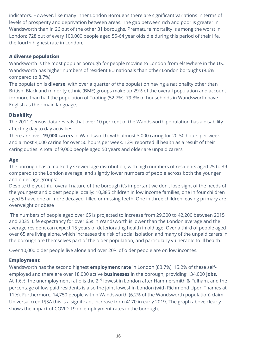indicators. However, like many inner London Boroughs there are significant variations in terms of levels of prosperity and deprivation between areas. The gap between rich and poor is greater in Wandsworth than in 26 out of the other 31 boroughs. Premature mortality is among the worst in London: 728 out of every 100,000 people aged 55-64 year olds die during this period of their life, the fourth highest rate in London.

#### **A diverse population**

Wandsworth is the most popular borough for people moving to London from elsewhere in the UK. Wandsworth has higher numbers of resident EU nationals than other London boroughs (9.6% compared to 8.7%).

The population is **diverse,** with over a quarter of the population having a nationality other than British. Black and minority ethnic (BME) groups make up 29% of the overall population and account for more than half the population of Tooting (52.7%). 79.3% of households in Wandsworth have English as their main language.

#### **Disability**

The 2011 Census data reveals that over 10 per cent of the Wandsworth population has a disability affecting day to day activities:

There are over **19,000 carers** in Wandsworth, with almost 3,000 caring for 20-50 hours per week and almost 4,000 caring for over 50 hours per week. 12% reported ill health as a result of their caring duties. A total of 9,000 people aged 50 years and older are unpaid carers

#### **Age**

The borough has a markedly skewed age distribution, with high numbers of residents aged 25 to 39 compared to the London average, and slightly lower numbers of people across both the younger and older age groups:

Despite the youthful overall nature of the borough it's important we don't lose sight of the needs of the youngest and oldest people locally: 10,385 children in low income families, one in four children aged 5 have one or more decayed, filled or missing teeth. One in three children leaving primary are overweight or obese

The numbers of people aged over 65 is projected to increase from 29,300 to 42,200 between 2015 and 2035. Life expectancy for over 65s in Wandsworth is lower than the London average and the average resident can expect 15 years of deteriorating health in old age. Over a third of people aged over 65 are living alone, which increases the risk of social isolation and many of the unpaid carers in the borough are themselves part of the older population, and particularly vulnerable to ill health.

Over 10,000 older people live alone and over 20% of older people are on low incomes.

#### **Employment**

Wandsworth has the second highest **employment rate** in London (83.7%), 15.2% of these selfemployed and there are over 18,000 active **businesses** in the borough, providing 134,000 **jobs.**  At 1.6%, the unemployment ratio is the 2<sup>nd</sup> lowest in London after Hammersmith & Fulham, and the percentage of low paid residents is also the joint lowest in London (with Richmond Upon Thames at 11%). Furthermore, 14,750 people within Wandsworth (6.2% of the Wandsworth population) claim Universal credit/JSA this is a significant increase from 4170 in early 2019. The graph above clearly shows the impact of COVID-19 on employment rates in the borough.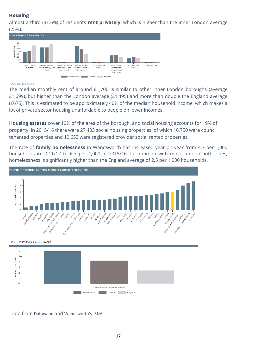#### **Housing**

Almost a third (31.6%) of residents **rent privately**, which is higher than the inner London average (25%).



#### Date: 2011 Source: ONS

The median monthly rent of around £1,700 is similar to other inner London boroughs (average £1,699), but higher than the London average (£1,495) and more than double the England average (£675). This is estimated to be approximately 40% of the median household income, which makes a lot of private sector housing unaffordable to people on lower incomes.

**Housing estates** cover 10% of the area of the borough, and social housing accounts for 19% of property. In 2015/16 there were 27,403 social housing properties, of which 16,750 were council tenanted properties and 10,653 were registered provider social rented properties.

The rate of **family homelessness** in Wandsworth has increased year on year from 4.7 per 1,000 households in 2011/12 to 6.3 per 1,000 in 2015/16. In common with most London authorities, homelessness is significantly higher than the England average of 2.5 per 1,000 households.



Data from [Datawand](https://www.datawand.info/) and [Wandsworth's JSNA](https://www.datawand.info/jsna/)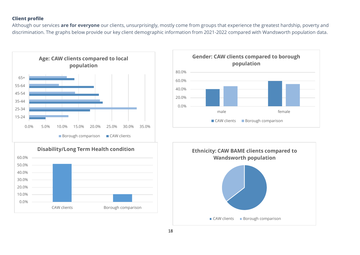#### **Client profile**

Although our services **are for everyone** our clients, unsurprisingly, mostly come from groups that experience the greatest hardship, poverty and discrimination. The graphs below provide our key client demographic information from 2021-2022 compared with Wandsworth population data.